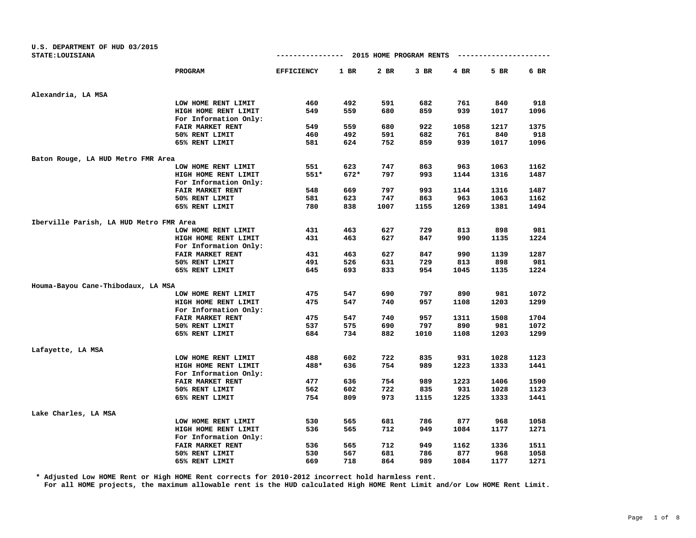| U.S. DEPARTMENT OF HUD 03/2015          |                         |                   |        |      |                         |      |      |      |
|-----------------------------------------|-------------------------|-------------------|--------|------|-------------------------|------|------|------|
| STATE: LOUISIANA                        |                         | ----------------  |        |      | 2015 HOME PROGRAM RENTS |      |      |      |
|                                         | PROGRAM                 | <b>EFFICIENCY</b> | $1$ BR | 2 BR | $3$ BR                  | 4 BR | 5 BR | 6 BR |
| Alexandria, LA MSA                      |                         |                   |        |      |                         |      |      |      |
|                                         | LOW HOME RENT LIMIT     | 460               | 492    | 591  | 682                     | 761  | 840  | 918  |
|                                         | HIGH HOME RENT LIMIT    | 549               | 559    | 680  | 859                     | 939  | 1017 | 1096 |
|                                         | For Information Only:   |                   |        |      |                         |      |      |      |
|                                         | FAIR MARKET RENT        | 549               | 559    | 680  | 922                     | 1058 | 1217 | 1375 |
|                                         | 50% RENT LIMIT          | 460               | 492    | 591  | 682                     | 761  | 840  | 918  |
|                                         | 65% RENT LIMIT          | 581               | 624    | 752  | 859                     | 939  | 1017 | 1096 |
| Baton Rouge, LA HUD Metro FMR Area      |                         |                   |        |      |                         |      |      |      |
|                                         | LOW HOME RENT LIMIT     | 551               | 623    | 747  | 863                     | 963  | 1063 | 1162 |
|                                         | HIGH HOME RENT LIMIT    | 551*              | $672*$ | 797  | 993                     | 1144 | 1316 | 1487 |
|                                         | For Information Only:   |                   |        |      |                         |      |      |      |
|                                         | FAIR MARKET RENT        | 548               | 669    | 797  | 993                     | 1144 | 1316 | 1487 |
|                                         | 50% RENT LIMIT          | 581               | 623    | 747  | 863                     | 963  | 1063 | 1162 |
|                                         | 65% RENT LIMIT          | 780               | 838    | 1007 | 1155                    | 1269 | 1381 | 1494 |
| Iberville Parish, LA HUD Metro FMR Area |                         |                   |        |      |                         |      |      |      |
|                                         | LOW HOME RENT LIMIT     | 431               | 463    | 627  | 729                     | 813  | 898  | 981  |
|                                         | HIGH HOME RENT LIMIT    | 431               | 463    | 627  | 847                     | 990  | 1135 | 1224 |
|                                         | For Information Only:   |                   |        |      |                         |      |      |      |
|                                         | <b>FAIR MARKET RENT</b> | 431               | 463    | 627  | 847                     | 990  | 1139 | 1287 |
|                                         | 50% RENT LIMIT          | 491               | 526    | 631  | 729                     | 813  | 898  | 981  |
|                                         | 65% RENT LIMIT          | 645               | 693    | 833  | 954                     | 1045 | 1135 | 1224 |
| Houma-Bayou Cane-Thibodaux, LA MSA      |                         |                   |        |      |                         |      |      |      |
|                                         | LOW HOME RENT LIMIT     | 475               | 547    | 690  | 797                     | 890  | 981  | 1072 |
|                                         | HIGH HOME RENT LIMIT    | 475               | 547    | 740  | 957                     | 1108 | 1203 | 1299 |
|                                         | For Information Only:   |                   |        |      |                         |      |      |      |
|                                         | FAIR MARKET RENT        | 475               | 547    | 740  | 957                     | 1311 | 1508 | 1704 |
|                                         | 50% RENT LIMIT          | 537               | 575    | 690  | 797                     | 890  | 981  | 1072 |
|                                         | 65% RENT LIMIT          | 684               | 734    | 882  | 1010                    | 1108 | 1203 | 1299 |
| Lafayette, LA MSA                       |                         |                   |        |      |                         |      |      |      |
|                                         | LOW HOME RENT LIMIT     | 488               | 602    | 722  | 835                     | 931  | 1028 | 1123 |
|                                         | HIGH HOME RENT LIMIT    | 488*              | 636    | 754  | 989                     | 1223 | 1333 | 1441 |
|                                         | For Information Only:   |                   |        |      |                         |      |      |      |
|                                         | FAIR MARKET RENT        | 477               | 636    | 754  | 989                     | 1223 | 1406 | 1590 |
|                                         | 50% RENT LIMIT          | 562               | 602    | 722  | 835                     | 931  | 1028 | 1123 |
|                                         | 65% RENT LIMIT          | 754               | 809    | 973  | 1115                    | 1225 | 1333 | 1441 |
| Lake Charles, LA MSA                    |                         |                   |        |      |                         |      |      |      |
|                                         | LOW HOME RENT LIMIT     | 530               | 565    | 681  | 786                     | 877  | 968  | 1058 |
|                                         | HIGH HOME RENT LIMIT    | 536               | 565    | 712  | 949                     | 1084 | 1177 | 1271 |
|                                         | For Information Only:   |                   |        |      |                         |      |      |      |
|                                         | FAIR MARKET RENT        | 536               | 565    | 712  | 949                     | 1162 | 1336 | 1511 |
|                                         | 50% RENT LIMIT          | 530               | 567    | 681  | 786                     | 877  | 968  | 1058 |
|                                         | 65% RENT LIMIT          | 669               | 718    | 864  | 989                     | 1084 | 1177 | 1271 |

**\* Adjusted Low HOME Rent or High HOME Rent corrects for 2010-2012 incorrect hold harmless rent.**

**For all HOME projects, the maximum allowable rent is the HUD calculated High HOME Rent Limit and/or Low HOME Rent Limit.**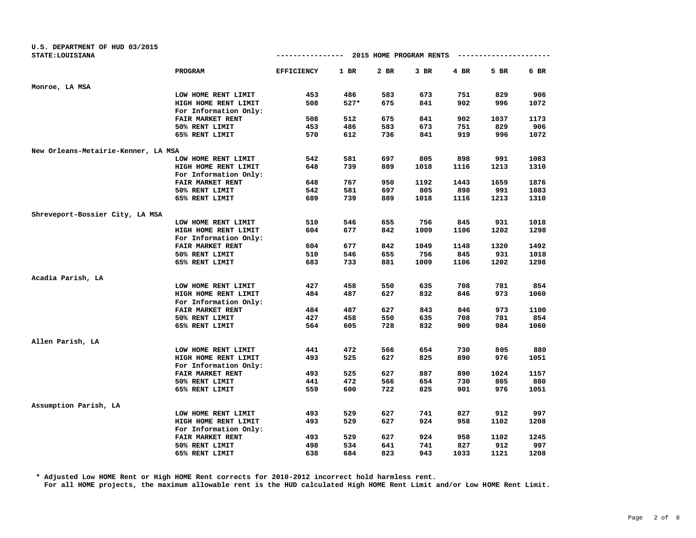| U.S. DEPARTMENT OF HUD 03/2015      |                         |                   |      |      |                         |      |      |      |
|-------------------------------------|-------------------------|-------------------|------|------|-------------------------|------|------|------|
| STATE: LOUISIANA                    |                         | --------------    |      |      | 2015 HOME PROGRAM RENTS |      |      |      |
|                                     | PROGRAM                 | <b>EFFICIENCY</b> | 1 BR | 2 BR | $3$ BR                  | 4 BR | 5 BR | 6 BR |
| Monroe, LA MSA                      |                         |                   |      |      |                         |      |      |      |
|                                     | LOW HOME RENT LIMIT     | 453               | 486  | 583  | 673                     | 751  | 829  | 906  |
|                                     | HIGH HOME RENT LIMIT    | 508               | 527* | 675  | 841                     | 902  | 996  | 1072 |
|                                     | For Information Only:   |                   |      |      |                         |      |      |      |
|                                     | FAIR MARKET RENT        | 508               | 512  | 675  | 841                     | 902  | 1037 | 1173 |
|                                     | 50% RENT LIMIT          | 453               | 486  | 583  | 673                     | 751  | 829  | 906  |
|                                     | 65% RENT LIMIT          | 570               | 612  | 736  | 841                     | 919  | 996  | 1072 |
| New Orleans-Metairie-Kenner, LA MSA |                         |                   |      |      |                         |      |      |      |
|                                     | LOW HOME RENT LIMIT     | 542               | 581  | 697  | 805                     | 898  | 991  | 1083 |
|                                     | HIGH HOME RENT LIMIT    | 648               | 739  | 889  | 1018                    | 1116 | 1213 | 1310 |
|                                     | For Information Only:   |                   |      |      |                         |      |      |      |
|                                     | FAIR MARKET RENT        | 648               | 767  | 950  | 1192                    | 1443 | 1659 | 1876 |
|                                     | 50% RENT LIMIT          | 542               | 581  | 697  | 805                     | 898  | 991  | 1083 |
|                                     | 65% RENT LIMIT          | 689               | 739  | 889  | 1018                    | 1116 | 1213 | 1310 |
| Shreveport-Bossier City, LA MSA     |                         |                   |      |      |                         |      |      |      |
|                                     | LOW HOME RENT LIMIT     | 510               | 546  | 655  | 756                     | 845  | 931  | 1018 |
|                                     | HIGH HOME RENT LIMIT    | 604               | 677  | 842  | 1009                    | 1106 | 1202 | 1298 |
|                                     | For Information Only:   |                   |      |      |                         |      |      |      |
|                                     | <b>FAIR MARKET RENT</b> | 604               | 677  | 842  | 1049                    | 1148 | 1320 | 1492 |
|                                     | 50% RENT LIMIT          | 510               | 546  | 655  | 756                     | 845  | 931  | 1018 |
|                                     | 65% RENT LIMIT          | 683               | 733  | 881  | 1009                    | 1106 | 1202 | 1298 |
| Acadia Parish, LA                   |                         |                   |      |      |                         |      |      |      |
|                                     | LOW HOME RENT LIMIT     | 427               | 458  | 550  | 635                     | 708  | 781  | 854  |
|                                     | HIGH HOME RENT LIMIT    | 484               | 487  | 627  | 832                     | 846  | 973  | 1060 |
|                                     | For Information Only:   |                   |      |      |                         |      |      |      |
|                                     | FAIR MARKET RENT        | 484               | 487  | 627  | 843                     | 846  | 973  | 1100 |
|                                     | 50% RENT LIMIT          | 427               | 458  | 550  | 635                     | 708  | 781  | 854  |
|                                     | 65% RENT LIMIT          | 564               | 605  | 728  | 832                     | 909  | 984  | 1060 |
| Allen Parish, LA                    |                         |                   |      |      |                         |      |      |      |
|                                     | LOW HOME RENT LIMIT     | 441               | 472  | 566  | 654                     | 730  | 805  | 880  |
|                                     | HIGH HOME RENT LIMIT    | 493               | 525  | 627  | 825                     | 890  | 976  | 1051 |
|                                     | For Information Only:   |                   |      |      |                         |      |      |      |
|                                     | FAIR MARKET RENT        | 493               | 525  | 627  | 887                     | 890  | 1024 | 1157 |
|                                     | 50% RENT LIMIT          | 441               | 472  | 566  | 654                     | 730  | 805  | 880  |
|                                     | 65% RENT LIMIT          | 559               | 600  | 722  | 825                     | 901  | 976  | 1051 |
| Assumption Parish, LA               |                         |                   |      |      |                         |      |      |      |
|                                     | LOW HOME RENT LIMIT     | 493               | 529  | 627  | 741                     | 827  | 912  | 997  |
|                                     | HIGH HOME RENT LIMIT    | 493               | 529  | 627  | 924                     | 958  | 1102 | 1208 |
|                                     | For Information Only:   |                   |      |      |                         |      |      |      |
|                                     | FAIR MARKET RENT        | 493               | 529  | 627  | 924                     | 958  | 1102 | 1245 |
|                                     | 50% RENT LIMIT          | 498               | 534  | 641  | 741                     | 827  | 912  | 997  |
|                                     | 65% RENT LIMIT          | 638               | 684  | 823  | 943                     | 1033 | 1121 | 1208 |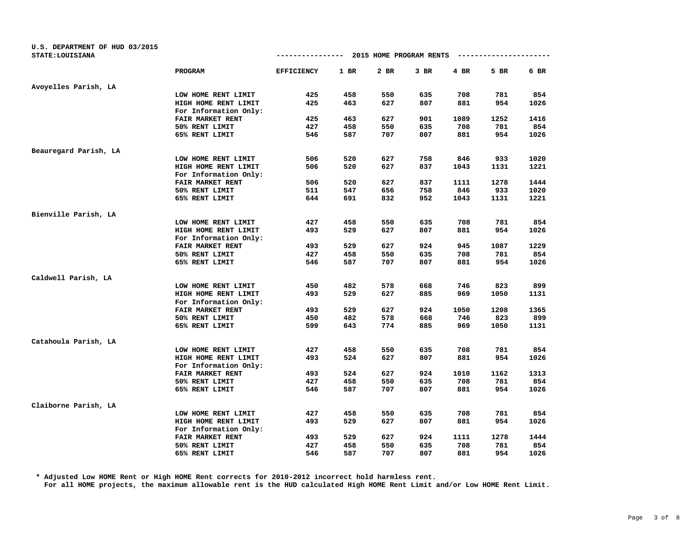| U.S. DEPARTMENT OF HUD 03/2015<br>STATE: LOUISIANA |                       | --------------    |        | 2015 HOME PROGRAM RENTS |        |      |      |      |
|----------------------------------------------------|-----------------------|-------------------|--------|-------------------------|--------|------|------|------|
|                                                    | PROGRAM               | <b>EFFICIENCY</b> | $1$ BR | $2$ BR                  | $3$ BR | 4 BR | 5 BR | 6 BR |
| Avoyelles Parish, LA                               |                       |                   |        |                         |        |      |      |      |
|                                                    | LOW HOME RENT LIMIT   | 425               | 458    | 550                     | 635    | 708  | 781  | 854  |
|                                                    | HIGH HOME RENT LIMIT  | 425               | 463    | 627                     | 807    | 881  | 954  | 1026 |
|                                                    | For Information Only: |                   |        |                         |        |      |      |      |
|                                                    | FAIR MARKET RENT      | 425               | 463    | 627                     | 901    | 1089 | 1252 | 1416 |
|                                                    | 50% RENT LIMIT        | 427               | 458    | 550                     | 635    | 708  | 781  | 854  |
|                                                    | 65% RENT LIMIT        | 546               | 587    | 707                     | 807    | 881  | 954  | 1026 |
| Beauregard Parish, LA                              |                       |                   |        |                         |        |      |      |      |
|                                                    | LOW HOME RENT LIMIT   | 506               | 520    | 627                     | 758    | 846  | 933  | 1020 |
|                                                    | HIGH HOME RENT LIMIT  | 506               | 520    | 627                     | 837    | 1043 | 1131 | 1221 |
|                                                    | For Information Only: |                   |        |                         |        |      |      |      |
|                                                    | FAIR MARKET RENT      | 506               | 520    | 627                     | 837    | 1111 | 1278 | 1444 |
|                                                    | 50% RENT LIMIT        | 511               | 547    | 656                     | 758    | 846  | 933  | 1020 |
|                                                    | 65% RENT LIMIT        | 644               | 691    | 832                     | 952    | 1043 | 1131 | 1221 |
| Bienville Parish, LA                               |                       |                   |        |                         |        |      |      |      |
|                                                    | LOW HOME RENT LIMIT   | 427               | 458    | 550                     | 635    | 708  | 781  | 854  |
|                                                    | HIGH HOME RENT LIMIT  | 493               | 529    | 627                     | 807    | 881  | 954  | 1026 |
|                                                    | For Information Only: |                   |        |                         |        |      |      |      |
|                                                    | FAIR MARKET RENT      | 493               | 529    | 627                     | 924    | 945  | 1087 | 1229 |
|                                                    | 50% RENT LIMIT        | 427               | 458    | 550                     | 635    | 708  | 781  | 854  |
|                                                    | 65% RENT LIMIT        | 546               | 587    | 707                     | 807    | 881  | 954  | 1026 |
| Caldwell Parish, LA                                |                       |                   |        |                         |        |      |      |      |
|                                                    | LOW HOME RENT LIMIT   | 450               | 482    | 578                     | 668    | 746  | 823  | 899  |
|                                                    | HIGH HOME RENT LIMIT  | 493               | 529    | 627                     | 885    | 969  | 1050 | 1131 |
|                                                    | For Information Only: |                   |        |                         |        |      |      |      |
|                                                    | FAIR MARKET RENT      | 493               | 529    | 627                     | 924    | 1050 | 1208 | 1365 |
|                                                    | 50% RENT LIMIT        | 450               | 482    | 578                     | 668    | 746  | 823  | 899  |
|                                                    | 65% RENT LIMIT        | 599               | 643    | 774                     | 885    | 969  | 1050 | 1131 |
| Catahoula Parish, LA                               |                       |                   |        |                         |        |      |      |      |
|                                                    | LOW HOME RENT LIMIT   | 427               | 458    | 550                     | 635    | 708  | 781  | 854  |
|                                                    | HIGH HOME RENT LIMIT  | 493               | 524    | 627                     | 807    | 881  | 954  | 1026 |
|                                                    | For Information Only: |                   |        |                         |        |      |      |      |
|                                                    | FAIR MARKET RENT      | 493               | 524    | 627                     | 924    | 1010 | 1162 | 1313 |
|                                                    | 50% RENT LIMIT        | 427               | 458    | 550                     | 635    | 708  | 781  | 854  |
|                                                    | 65% RENT LIMIT        | 546               | 587    | 707                     | 807    | 881  | 954  | 1026 |
| Claiborne Parish, LA                               |                       |                   |        |                         |        |      |      |      |
|                                                    | LOW HOME RENT LIMIT   | 427               | 458    | 550                     | 635    | 708  | 781  | 854  |
|                                                    | HIGH HOME RENT LIMIT  | 493               | 529    | 627                     | 807    | 881  | 954  | 1026 |
|                                                    | For Information Only: |                   |        |                         |        |      |      |      |
|                                                    | FAIR MARKET RENT      | 493               | 529    | 627                     | 924    | 1111 | 1278 | 1444 |
|                                                    | 50% RENT LIMIT        | 427               | 458    | 550                     | 635    | 708  | 781  | 854  |
|                                                    | 65% RENT LIMIT        | 546               | 587    | 707                     | 807    | 881  | 954  | 1026 |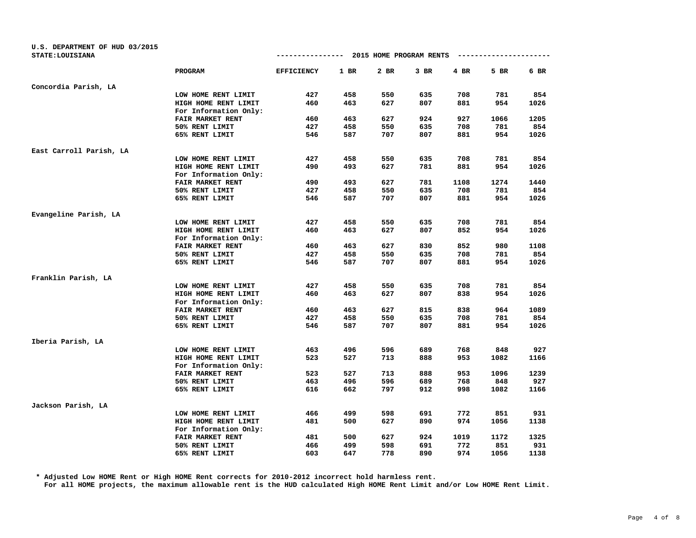| U.S. DEPARTMENT OF HUD 03/2015 |                       |                   |        |                         |        |      |      |      |
|--------------------------------|-----------------------|-------------------|--------|-------------------------|--------|------|------|------|
| STATE: LOUISIANA               |                       | -------------     |        | 2015 HOME PROGRAM RENTS |        |      |      |      |
|                                | PROGRAM               | <b>EFFICIENCY</b> | $1$ BR | 2 BR                    | $3$ BR | 4 BR | 5 BR | 6 BR |
| Concordia Parish, LA           |                       |                   |        |                         |        |      |      |      |
|                                | LOW HOME RENT LIMIT   | 427               | 458    | 550                     | 635    | 708  | 781  | 854  |
|                                | HIGH HOME RENT LIMIT  | 460               | 463    | 627                     | 807    | 881  | 954  | 1026 |
|                                | For Information Only: |                   |        |                         |        |      |      |      |
|                                | FAIR MARKET RENT      | 460               | 463    | 627                     | 924    | 927  | 1066 | 1205 |
|                                | 50% RENT LIMIT        | 427               | 458    | 550                     | 635    | 708  | 781  | 854  |
|                                | 65% RENT LIMIT        | 546               | 587    | 707                     | 807    | 881  | 954  | 1026 |
| East Carroll Parish, LA        |                       |                   |        |                         |        |      |      |      |
|                                | LOW HOME RENT LIMIT   | 427               | 458    | 550                     | 635    | 708  | 781  | 854  |
|                                | HIGH HOME RENT LIMIT  | 490               | 493    | 627                     | 781    | 881  | 954  | 1026 |
|                                | For Information Only: |                   |        |                         |        |      |      |      |
|                                | FAIR MARKET RENT      | 490               | 493    | 627                     | 781    | 1108 | 1274 | 1440 |
|                                | 50% RENT LIMIT        | 427               | 458    | 550                     | 635    | 708  | 781  | 854  |
|                                | 65% RENT LIMIT        | 546               | 587    | 707                     | 807    | 881  | 954  | 1026 |
| Evangeline Parish, LA          |                       |                   |        |                         |        |      |      |      |
|                                | LOW HOME RENT LIMIT   | 427               | 458    | 550                     | 635    | 708  | 781  | 854  |
|                                | HIGH HOME RENT LIMIT  | 460               | 463    | 627                     | 807    | 852  | 954  | 1026 |
|                                | For Information Only: |                   |        |                         |        |      |      |      |
|                                | FAIR MARKET RENT      | 460               | 463    | 627                     | 830    | 852  | 980  | 1108 |
|                                | 50% RENT LIMIT        | 427               | 458    | 550                     | 635    | 708  | 781  | 854  |
|                                | 65% RENT LIMIT        | 546               | 587    | 707                     | 807    | 881  | 954  | 1026 |
| Franklin Parish, LA            |                       |                   |        |                         |        |      |      |      |
|                                | LOW HOME RENT LIMIT   | 427               | 458    | 550                     | 635    | 708  | 781  | 854  |
|                                | HIGH HOME RENT LIMIT  | 460               | 463    | 627                     | 807    | 838  | 954  | 1026 |
|                                | For Information Only: |                   |        |                         |        |      |      |      |
|                                | FAIR MARKET RENT      | 460               | 463    | 627                     | 815    | 838  | 964  | 1089 |
|                                | 50% RENT LIMIT        | 427               | 458    | 550                     | 635    | 708  | 781  | 854  |
|                                | 65% RENT LIMIT        | 546               | 587    | 707                     | 807    | 881  | 954  | 1026 |
| Iberia Parish, LA              |                       |                   |        |                         |        |      |      |      |
|                                | LOW HOME RENT LIMIT   | 463               | 496    | 596                     | 689    | 768  | 848  | 927  |
|                                | HIGH HOME RENT LIMIT  | 523               | 527    | 713                     | 888    | 953  | 1082 | 1166 |
|                                | For Information Only: |                   |        |                         |        |      |      |      |
|                                | FAIR MARKET RENT      | 523               | 527    | 713                     | 888    | 953  | 1096 | 1239 |
|                                | 50% RENT LIMIT        | 463               | 496    | 596                     | 689    | 768  | 848  | 927  |
|                                | 65% RENT LIMIT        | 616               | 662    | 797                     | 912    | 998  | 1082 | 1166 |
| Jackson Parish, LA             |                       |                   |        |                         |        |      |      |      |
|                                | LOW HOME RENT LIMIT   | 466               | 499    | 598                     | 691    | 772  | 851  | 931  |
|                                | HIGH HOME RENT LIMIT  | 481               | 500    | 627                     | 890    | 974  | 1056 | 1138 |
|                                | For Information Only: |                   |        |                         |        |      |      |      |
|                                | FAIR MARKET RENT      | 481               | 500    | 627                     | 924    | 1019 | 1172 | 1325 |
|                                | 50% RENT LIMIT        | 466               | 499    | 598                     | 691    | 772  | 851  | 931  |
|                                | 65% RENT LIMIT        | 603               | 647    | 778                     | 890    | 974  | 1056 | 1138 |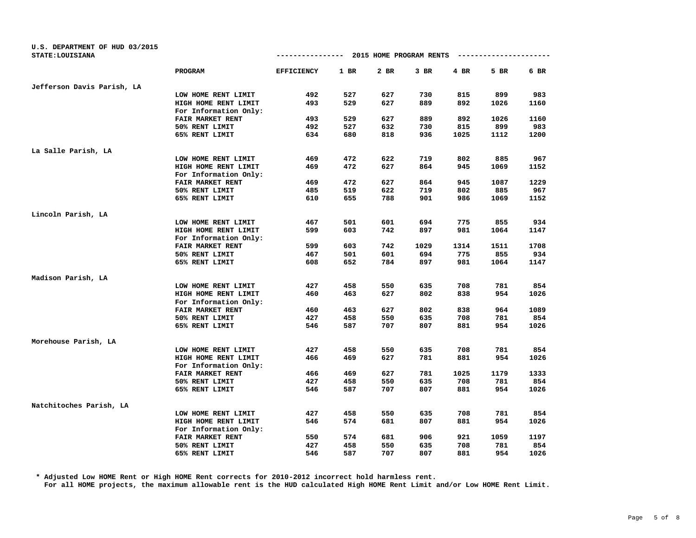| U.S. DEPARTMENT OF HUD 03/2015 |                         |                                        |      |      |        |      |      |      |
|--------------------------------|-------------------------|----------------------------------------|------|------|--------|------|------|------|
| STATE: LOUISIANA               |                         | -------------- 2015 HOME PROGRAM RENTS |      |      |        |      |      |      |
|                                | PROGRAM                 | <b>EFFICIENCY</b>                      | 1 BR | 2 BR | $3$ BR | 4 BR | 5 BR | 6 BR |
| Jefferson Davis Parish, LA     |                         |                                        |      |      |        |      |      |      |
|                                | LOW HOME RENT LIMIT     | 492                                    | 527  | 627  | 730    | 815  | 899  | 983  |
|                                | HIGH HOME RENT LIMIT    | 493                                    | 529  | 627  | 889    | 892  | 1026 | 1160 |
|                                | For Information Only:   |                                        |      |      |        |      |      |      |
|                                | FAIR MARKET RENT        | 493                                    | 529  | 627  | 889    | 892  | 1026 | 1160 |
|                                | 50% RENT LIMIT          | 492                                    | 527  | 632  | 730    | 815  | 899  | 983  |
|                                | 65% RENT LIMIT          | 634                                    | 680  | 818  | 936    | 1025 | 1112 | 1200 |
| La Salle Parish, LA            |                         |                                        |      |      |        |      |      |      |
|                                | LOW HOME RENT LIMIT     | 469                                    | 472  | 622  | 719    | 802  | 885  | 967  |
|                                | HIGH HOME RENT LIMIT    | 469                                    | 472  | 627  | 864    | 945  | 1069 | 1152 |
|                                | For Information Only:   |                                        |      |      |        |      |      |      |
|                                | FAIR MARKET RENT        | 469                                    | 472  | 627  | 864    | 945  | 1087 | 1229 |
|                                | 50% RENT LIMIT          | 485                                    | 519  | 622  | 719    | 802  | 885  | 967  |
|                                | 65% RENT LIMIT          | 610                                    | 655  | 788  | 901    | 986  | 1069 | 1152 |
| Lincoln Parish, LA             |                         |                                        |      |      |        |      |      |      |
|                                | LOW HOME RENT LIMIT     | 467                                    | 501  | 601  | 694    | 775  | 855  | 934  |
|                                | HIGH HOME RENT LIMIT    | 599                                    | 603  | 742  | 897    | 981  | 1064 | 1147 |
|                                | For Information Only:   |                                        |      |      |        |      |      |      |
|                                | <b>FAIR MARKET RENT</b> | 599                                    | 603  | 742  | 1029   | 1314 | 1511 | 1708 |
|                                | 50% RENT LIMIT          | 467                                    | 501  | 601  | 694    | 775  | 855  | 934  |
|                                | 65% RENT LIMIT          | 608                                    | 652  | 784  | 897    | 981  | 1064 | 1147 |
| Madison Parish, LA             |                         |                                        |      |      |        |      |      |      |
|                                | LOW HOME RENT LIMIT     | 427                                    | 458  | 550  | 635    | 708  | 781  | 854  |
|                                | HIGH HOME RENT LIMIT    | 460                                    | 463  | 627  | 802    | 838  | 954  | 1026 |
|                                | For Information Only:   |                                        |      |      |        |      |      |      |
|                                | <b>FAIR MARKET RENT</b> | 460                                    | 463  | 627  | 802    | 838  | 964  | 1089 |
|                                | 50% RENT LIMIT          | 427                                    | 458  | 550  | 635    | 708  | 781  | 854  |
|                                | 65% RENT LIMIT          | 546                                    | 587  | 707  | 807    | 881  | 954  | 1026 |
| Morehouse Parish, LA           |                         |                                        |      |      |        |      |      |      |
|                                | LOW HOME RENT LIMIT     | 427                                    | 458  | 550  | 635    | 708  | 781  | 854  |
|                                | HIGH HOME RENT LIMIT    | 466                                    | 469  | 627  | 781    | 881  | 954  | 1026 |
|                                | For Information Only:   |                                        |      |      |        |      |      |      |
|                                | FAIR MARKET RENT        | 466                                    | 469  | 627  | 781    | 1025 | 1179 | 1333 |
|                                | 50% RENT LIMIT          | 427                                    | 458  | 550  | 635    | 708  | 781  | 854  |
|                                | 65% RENT LIMIT          | 546                                    | 587  | 707  | 807    | 881  | 954  | 1026 |
| Natchitoches Parish, LA        |                         |                                        |      |      |        |      |      |      |
|                                | LOW HOME RENT LIMIT     | 427                                    | 458  | 550  | 635    | 708  | 781  | 854  |
|                                | HIGH HOME RENT LIMIT    | 546                                    | 574  | 681  | 807    | 881  | 954  | 1026 |
|                                | For Information Only:   |                                        |      |      |        |      |      |      |
|                                | FAIR MARKET RENT        | 550                                    | 574  | 681  | 906    | 921  | 1059 | 1197 |
|                                | 50% RENT LIMIT          | 427                                    | 458  | 550  | 635    | 708  | 781  | 854  |
|                                | 65% RENT LIMIT          | 546                                    | 587  | 707  | 807    | 881  | 954  | 1026 |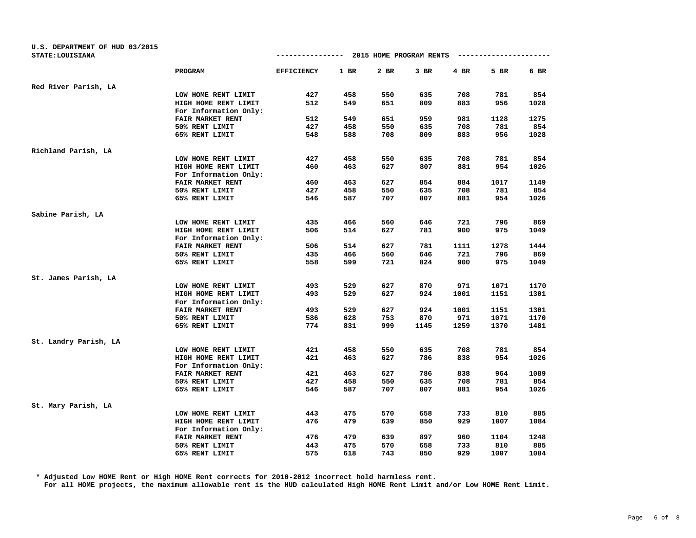| U.S. DEPARTMENT OF HUD 03/2015<br><b>STATE: LOUISIANA</b> |                                           |                   |        | ------------- 2015 HOME PROGRAM RENTS |      |      |      |      |
|-----------------------------------------------------------|-------------------------------------------|-------------------|--------|---------------------------------------|------|------|------|------|
|                                                           | PROGRAM                                   | <b>EFFICIENCY</b> | $1$ BR | 2 BR                                  | 3 BR | 4 BR | 5 BR | 6 BR |
| Red River Parish, LA                                      |                                           |                   |        |                                       |      |      |      |      |
|                                                           | LOW HOME RENT LIMIT                       | 427               | 458    | 550                                   | 635  | 708  | 781  | 854  |
|                                                           | HIGH HOME RENT LIMIT                      | 512               | 549    | 651                                   | 809  | 883  | 956  | 1028 |
|                                                           | For Information Only:                     |                   |        |                                       |      |      |      |      |
|                                                           | FAIR MARKET RENT                          | 512               | 549    | 651                                   | 959  | 981  | 1128 | 1275 |
|                                                           | 50% RENT LIMIT                            | 427               | 458    | 550                                   | 635  | 708  | 781  | 854  |
|                                                           | 65% RENT LIMIT                            | 548               | 588    | 708                                   | 809  | 883  | 956  | 1028 |
| Richland Parish, LA                                       |                                           |                   |        |                                       |      |      |      |      |
|                                                           | LOW HOME RENT LIMIT                       | 427               | 458    | 550                                   | 635  | 708  | 781  | 854  |
|                                                           | HIGH HOME RENT LIMIT                      | 460               | 463    | 627                                   | 807  | 881  | 954  | 1026 |
|                                                           | For Information Only:                     |                   |        |                                       |      |      |      |      |
|                                                           | FAIR MARKET RENT                          | 460               | 463    | 627                                   | 854  | 884  | 1017 | 1149 |
|                                                           | 50% RENT LIMIT                            | 427               | 458    | 550                                   | 635  | 708  | 781  | 854  |
|                                                           | 65% RENT LIMIT                            | 546               | 587    | 707                                   | 807  | 881  | 954  | 1026 |
| Sabine Parish, LA                                         |                                           |                   |        |                                       |      |      |      |      |
|                                                           | LOW HOME RENT LIMIT                       | 435               | 466    | 560                                   | 646  | 721  | 796  | 869  |
|                                                           | HIGH HOME RENT LIMIT                      | 506               | 514    | 627                                   | 781  | 900  | 975  | 1049 |
|                                                           | For Information Only:                     |                   |        |                                       |      |      |      |      |
|                                                           | FAIR MARKET RENT                          | 506               | 514    | 627                                   | 781  | 1111 | 1278 | 1444 |
|                                                           | 50% RENT LIMIT                            | 435               | 466    | 560                                   | 646  | 721  | 796  | 869  |
|                                                           | 65% RENT LIMIT                            | 558               | 599    | 721                                   | 824  | 900  | 975  | 1049 |
| St. James Parish, LA                                      |                                           |                   |        |                                       |      |      |      |      |
|                                                           | LOW HOME RENT LIMIT                       | 493               | 529    | 627                                   | 870  | 971  | 1071 | 1170 |
|                                                           | HIGH HOME RENT LIMIT                      | 493               | 529    | 627                                   | 924  | 1001 | 1151 | 1301 |
|                                                           | For Information Only:<br>FAIR MARKET RENT | 493               | 529    | 627                                   | 924  | 1001 | 1151 | 1301 |
|                                                           | 50% RENT LIMIT                            | 586               | 628    | 753                                   | 870  | 971  | 1071 | 1170 |
|                                                           | 65% RENT LIMIT                            | 774               | 831    | 999                                   | 1145 | 1259 | 1370 | 1481 |
| St. Landry Parish, LA                                     |                                           |                   |        |                                       |      |      |      |      |
|                                                           | LOW HOME RENT LIMIT                       | 421               | 458    | 550                                   | 635  | 708  | 781  | 854  |
|                                                           | HIGH HOME RENT LIMIT                      | 421               | 463    | 627                                   | 786  | 838  | 954  | 1026 |
|                                                           | For Information Only:                     |                   |        |                                       |      |      |      |      |
|                                                           | FAIR MARKET RENT                          | 421               | 463    | 627                                   | 786  | 838  | 964  | 1089 |
|                                                           | 50% RENT LIMIT                            | 427               | 458    | 550                                   | 635  | 708  | 781  | 854  |
|                                                           | 65% RENT LIMIT                            | 546               | 587    | 707                                   | 807  | 881  | 954  | 1026 |
|                                                           |                                           |                   |        |                                       |      |      |      |      |
| St. Mary Parish, LA                                       | LOW HOME RENT LIMIT                       | 443               | 475    | 570                                   | 658  | 733  | 810  | 885  |
|                                                           | HIGH HOME RENT LIMIT                      | 476               | 479    | 639                                   | 850  | 929  | 1007 | 1084 |
|                                                           | For Information Only:                     |                   |        |                                       |      |      |      |      |
|                                                           | FAIR MARKET RENT                          | 476               | 479    | 639                                   | 897  | 960  | 1104 | 1248 |
|                                                           | 50% RENT LIMIT                            | 443               | 475    | 570                                   | 658  | 733  | 810  | 885  |
|                                                           | 65% RENT LIMIT                            | 575               | 618    | 743                                   | 850  | 929  | 1007 | 1084 |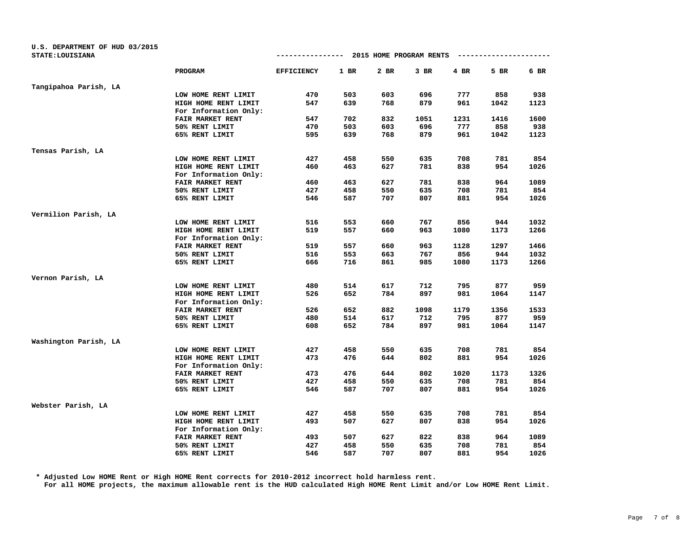| U.S. DEPARTMENT OF HUD 03/2015<br>STATE: LOUISIANA |                       | -------------     |        | 2015 HOME PROGRAM RENTS |        |      |      |      |
|----------------------------------------------------|-----------------------|-------------------|--------|-------------------------|--------|------|------|------|
|                                                    | PROGRAM               | <b>EFFICIENCY</b> | $1$ BR | 2 BR                    | $3$ BR | 4 BR | 5 BR | 6 BR |
| Tangipahoa Parish, LA                              |                       |                   |        |                         |        |      |      |      |
|                                                    | LOW HOME RENT LIMIT   | 470               | 503    | 603                     | 696    | 777  | 858  | 938  |
|                                                    | HIGH HOME RENT LIMIT  | 547               | 639    | 768                     | 879    | 961  | 1042 | 1123 |
|                                                    | For Information Only: |                   |        |                         |        |      |      |      |
|                                                    | FAIR MARKET RENT      | 547               | 702    | 832                     | 1051   | 1231 | 1416 | 1600 |
|                                                    | 50% RENT LIMIT        | 470               | 503    | 603                     | 696    | 777  | 858  | 938  |
|                                                    | 65% RENT LIMIT        | 595               | 639    | 768                     | 879    | 961  | 1042 | 1123 |
| Tensas Parish, LA                                  |                       |                   |        |                         |        |      |      |      |
|                                                    | LOW HOME RENT LIMIT   | 427               | 458    | 550                     | 635    | 708  | 781  | 854  |
|                                                    | HIGH HOME RENT LIMIT  | 460               | 463    | 627                     | 781    | 838  | 954  | 1026 |
|                                                    | For Information Only: |                   |        |                         |        |      |      |      |
|                                                    | FAIR MARKET RENT      | 460               | 463    | 627                     | 781    | 838  | 964  | 1089 |
|                                                    | 50% RENT LIMIT        | 427               | 458    | 550                     | 635    | 708  | 781  | 854  |
|                                                    | 65% RENT LIMIT        | 546               | 587    | 707                     | 807    | 881  | 954  | 1026 |
| Vermilion Parish, LA                               |                       |                   |        |                         |        |      |      |      |
|                                                    | LOW HOME RENT LIMIT   | 516               | 553    | 660                     | 767    | 856  | 944  | 1032 |
|                                                    | HIGH HOME RENT LIMIT  | 519               | 557    | 660                     | 963    | 1080 | 1173 | 1266 |
|                                                    | For Information Only: |                   |        |                         |        |      |      |      |
|                                                    | FAIR MARKET RENT      | 519               | 557    | 660                     | 963    | 1128 | 1297 | 1466 |
|                                                    | 50% RENT LIMIT        | 516               | 553    | 663                     | 767    | 856  | 944  | 1032 |
|                                                    | 65% RENT LIMIT        | 666               | 716    | 861                     | 985    | 1080 | 1173 | 1266 |
| Vernon Parish, LA                                  |                       |                   |        |                         |        |      |      |      |
|                                                    | LOW HOME RENT LIMIT   | 480               | 514    | 617                     | 712    | 795  | 877  | 959  |
|                                                    | HIGH HOME RENT LIMIT  | 526               | 652    | 784                     | 897    | 981  | 1064 | 1147 |
|                                                    | For Information Only: |                   |        |                         |        |      |      |      |
|                                                    | FAIR MARKET RENT      | 526               | 652    | 882                     | 1098   | 1179 | 1356 | 1533 |
|                                                    | 50% RENT LIMIT        | 480               | 514    | 617                     | 712    | 795  | 877  | 959  |
|                                                    | 65% RENT LIMIT        | 608               | 652    | 784                     | 897    | 981  | 1064 | 1147 |
| Washington Parish, LA                              |                       |                   |        |                         |        |      |      |      |
|                                                    | LOW HOME RENT LIMIT   | 427               | 458    | 550                     | 635    | 708  | 781  | 854  |
|                                                    | HIGH HOME RENT LIMIT  | 473               | 476    | 644                     | 802    | 881  | 954  | 1026 |
|                                                    | For Information Only: |                   |        |                         |        |      |      |      |
|                                                    | FAIR MARKET RENT      | 473               | 476    | 644                     | 802    | 1020 | 1173 | 1326 |
|                                                    | 50% RENT LIMIT        | 427               | 458    | 550                     | 635    | 708  | 781  | 854  |
|                                                    | 65% RENT LIMIT        | 546               | 587    | 707                     | 807    | 881  | 954  | 1026 |
| Webster Parish, LA                                 |                       |                   |        |                         |        |      |      |      |
|                                                    | LOW HOME RENT LIMIT   | 427               | 458    | 550                     | 635    | 708  | 781  | 854  |
|                                                    | HIGH HOME RENT LIMIT  | 493               | 507    | 627                     | 807    | 838  | 954  | 1026 |
|                                                    | For Information Only: |                   |        |                         |        |      |      |      |
|                                                    | FAIR MARKET RENT      | 493               | 507    | 627                     | 822    | 838  | 964  | 1089 |
|                                                    | 50% RENT LIMIT        | 427               | 458    | 550                     | 635    | 708  | 781  | 854  |
|                                                    | 65% RENT LIMIT        | 546               | 587    | 707                     | 807    | 881  | 954  | 1026 |